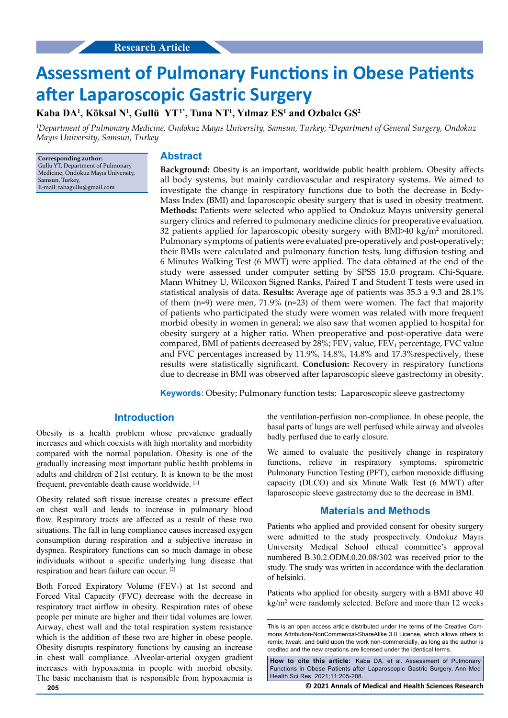# **Assessment of Pulmonary Functions in Obese Patients after Laparoscopic Gastric Surgery**

**Kaba DA1 , Köksal N1 , Gullü YT1\*, Tuna NT1 , Yılmaz ES<sup>1</sup> and Ozbalcı GS<sup>2</sup>**

*1 Department of Pulmonary Medicine, Ondokuz Mayıs University, Samsun, Turkey; <sup>2</sup> Department of General Surgery, Ondokuz Mayıs University, Samsun, Turkey*

**Corresponding author:** Gullu YT, Department of Pulmonary Medicine, Ondokuz Mayıs University, Samsun, Turkey, E-mail: tahagullu@gmail.com

## **Abstract**

**Background:** Obesity is an important, worldwide public health problem. Obesity affects all body systems, but mainly cardiovascular and respiratory systems. We aimed to investigate the change in respiratory functions due to both the decrease in Body-Mass Index (BMI) and laparoscopic obesity surgery that is used in obesity treatment. **Methods:** Patients were selected who applied to Ondokuz Mayıs university general surgery clinics and referred to pulmonary medicine clinics for preoperative evaluation. 32 patients applied for laparoscopic obesity surgery with BMI $>40$  kg/m<sup>2</sup> monitored. Pulmonary symptoms of patients were evaluated pre-operatively and post-operatively; their BMIs were calculated and pulmonary function tests, lung diffusion testing and 6 Minutes Walking Test (6 MWT) were applied. The data obtained at the end of the study were assessed under computer setting by SPSS 15.0 program. Chi-Square, Mann Whitney U, Wilcoxon Signed Ranks, Paired T and Student T tests were used in statistical analysis of data. **Results:** Average age of patients was 35.3 ± 9.3 and 28.1% of them (n=9) were men, 71.9% (n=23) of them were women. The fact that majority of patients who participated the study were women was related with more frequent morbid obesity in women in general; we also saw that women applied to hospital for obesity surgery at a higher ratio. When preoperative and post-operative data were compared, BMI of patients decreased by 28%; FEV<sub>1</sub> value, FEV<sub>1</sub> percentage, FVC value and FVC percentages increased by 11.9%, 14.8%, 14.8% and 17.3%respectively, these results were statistically significant. **Conclusion:** Recovery in respiratory functions due to decrease in BMI was observed after laparoscopic sleeve gastrectomy in obesity.

**Keywords:** Obesity; Pulmonary function tests; Laparoscopic sleeve gastrectomy

## **Introduction**

Obesity is a health problem whose prevalence gradually increases and which coexists with high mortality and morbidity compared with the normal population. Obesity is one of the gradually increasing most important public health problems in adults and children of 21st century. It is known to be the most frequent, preventable death cause worldwide. [1]

Obesity related soft tissue increase creates a pressure effect on chest wall and leads to increase in pulmonary blood flow. Respiratory tracts are affected as a result of these two situations. The fall in lung compliance causes increased oxygen consumption during respiration and a subjective increase in dyspnea. Respiratory functions can so much damage in obese individuals without a specific underlying lung disease that respiration and heart failure can occur. [2]

Both Forced Expiratory Volume (FEV<sub>1</sub>) at 1st second and Forced Vital Capacity (FVC) decrease with the decrease in respiratory tract airflow in obesity. Respiration rates of obese people per minute are higher and their tidal volumes are lower. Airway, chest wall and the total respiration system resistance which is the addition of these two are higher in obese people. Obesity disrupts respiratory functions by causing an increase in chest wall compliance. Alveolar-arterial oxygen gradient increases with hypoxaemia in people with morbid obesity. The basic mechanism that is responsible from hypoxaemia is the ventilation-perfusion non-compliance. In obese people, the basal parts of lungs are well perfused while airway and alveoles badly perfused due to early closure.

We aimed to evaluate the positively change in respiratory functions, relieve in respiratory symptoms, spirometric Pulmonary Function Testing (PFT), carbon monoxide diffusing capacity (DLCO) and six Minute Walk Test (6 MWT) after laparoscopic sleeve gastrectomy due to the decrease in BMI.

## **Materials and Methods**

Patients who applied and provided consent for obesity surgery were admitted to the study prospectively. Ondokuz Mayıs University Medical School ethical committee's approval numbered B.30.2.ODM.0.20.08/302 was received prior to the study. The study was written in accordance with the declaration of helsinki.

Patients who applied for obesity surgery with a BMI above 40 kg/m<sup>2</sup> were randomly selected. Before and more than 12 weeks

This is an open access article distributed under the terms of the Creative Commons Attribution-NonCommercial-ShareAlike 3.0 License, which allows others to remix, tweak, and build upon the work non-commercially, as long as the author is credited and the new creations are licensed under the identical terms.

**How to cite this article:** Kaba DA, et al. Assessment of Pulmonary Functions in Obese Patients after Laparoscopic Gastric Surgery. Ann Med Health Sci Res. 2021;11:205-208.

**205 © 2021 Annals of Medical and Health Sciences Research**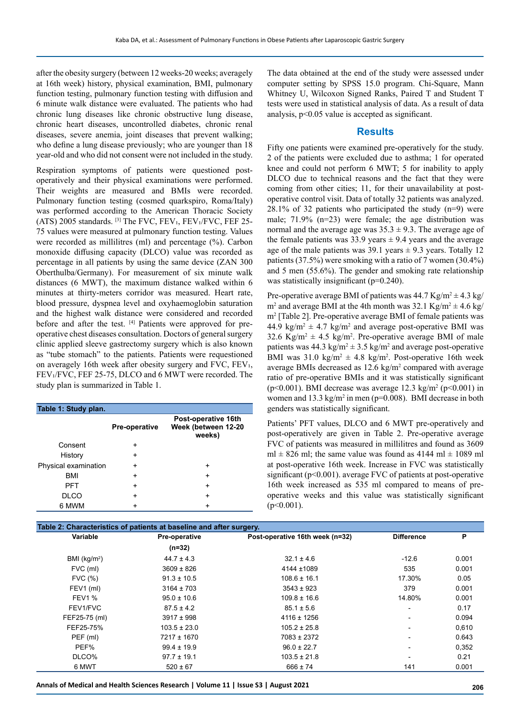after the obesity surgery (between 12 weeks-20 weeks; averagely at 16th week) history, physical examination, BMI, pulmonary function testing, pulmonary function testing with diffusion and 6 minute walk distance were evaluated. The patients who had chronic lung diseases like chronic obstructive lung disease, chronic heart diseases, uncontrolled diabetes, chronic renal diseases, severe anemia, joint diseases that prevent walking; who define a lung disease previously; who are younger than 18 year-old and who did not consent were not included in the study.

Respiration symptoms of patients were questioned postoperatively and their physical examinations were performed. Their weights are measured and BMIs were recorded. Pulmonary function testing (cosmed quarkspiro, Roma/Italy) was performed according to the American Thoracic Society (ATS) 2005 standards. [3] The FVC, FEV<sub>1</sub>, FEV<sub>1</sub>/FVC, FEF 25-75 values were measured at pulmonary function testing. Values were recorded as millilitres (ml) and percentage (%). Carbon monoxide diffusing capacity (DLCO) value was recorded as percentage in all patients by using the same device (ZAN 300 Oberthulba/Germany). For measurement of six minute walk distances (6 MWT), the maximum distance walked within 6 minutes at thirty-meters corridor was measured. Heart rate, blood pressure, dyspnea level and oxyhaemoglobin saturation and the highest walk distance were considered and recorded before and after the test. [4] Patients were approved for preoperative chest diseases consultation. Doctors of general surgery clinic applied sleeve gastrectomy surgery which is also known as "tube stomach" to the patients. Patients were requestioned on averagely 16th week after obesity surgery and FVC, FEV₁, FEV₁/FVC, FEF 25-75, DLCO and 6 MWT were recorded. The study plan is summarized in Table 1.

| Table 1: Study plan. |                      |                                                      |
|----------------------|----------------------|------------------------------------------------------|
|                      | <b>Pre-operative</b> | Post-operative 16th<br>Week (between 12-20<br>weeks) |
| Consent              | ÷                    |                                                      |
| History              | $\ddot{}$            |                                                      |
| Physical examination | ÷                    | ٠                                                    |
| <b>BMI</b>           | $\ddot{}$            | ٠                                                    |
| <b>PFT</b>           | ÷                    | ٠                                                    |
| DLCO                 | ÷                    | ٠                                                    |
| 6 MWM                | +                    |                                                      |

The data obtained at the end of the study were assessed under computer setting by SPSS 15.0 program. Chi-Square, Mann Whitney U, Wilcoxon Signed Ranks, Paired T and Student T tests were used in statistical analysis of data. As a result of data analysis, p<0.05 value is accepted as significant.

#### **Results**

Fifty one patients were examined pre-operatively for the study. 2 of the patients were excluded due to asthma; 1 for operated knee and could not perform 6 MWT; 5 for inability to apply DLCO due to technical reasons and the fact that they were coming from other cities; 11, for their unavailability at postoperative control visit. Data of totally 32 patients was analyzed. 28.1% of 32 patients who participated the study (n=9) were male; 71.9% (n=23) were female; the age distribution was normal and the average age was  $35.3 \pm 9.3$ . The average age of the female patients was 33.9 years  $\pm$  9.4 years and the average age of the male patients was  $39.1$  years  $\pm 9.3$  years. Totally 12 patients (37.5%) were smoking with a ratio of 7 women (30.4%) and 5 men (55.6%). The gender and smoking rate relationship was statistically insignificant (p=0.240).

Pre-operative average BMI of patients was  $44.7 \text{ Kg/m}^2 \pm 4.3 \text{ kg}$  $m^2$  and average BMI at the 4th month was 32.1 Kg/m<sup>2</sup>  $\pm$  4.6 kg/ m2 [Table 2]. Pre-operative average BMI of female patients was 44.9  $\text{kg/m}^2 \pm 4.7 \text{ kg/m}^2$  and average post-operative BMI was 32.6 Kg/m<sup>2</sup>  $\pm$  4.5 kg/m<sup>2</sup>. Pre-operative average BMI of male patients was 44.3  $\text{kg/m}^2 \pm 3.5 \text{ kg/m}^2$  and average post-operative BMI was  $31.0 \text{ kg/m}^2 \pm 4.8 \text{ kg/m}^2$ . Post-operative 16th week average BMIs decreased as  $12.6 \text{ kg/m}^2$  compared with average ratio of pre-operative BMIs and it was statistically significant ( $p$ <0.001). BMI decrease was average 12.3 kg/m<sup>2</sup> ( $p$ <0.001) in women and  $13.3 \text{ kg/m}^2$  in men (p=0.008). BMI decrease in both genders was statistically significant.

Patients' PFT values, DLCO and 6 MWT pre-operatively and post-operatively are given in Table 2. Pre-operative average FVC of patients was measured in millilitres and found as 3609 ml  $\pm$  826 ml; the same value was found as 4144 ml  $\pm$  1089 ml at post-operative 16th week. Increase in FVC was statistically significant (p<0.001). average FVC of patients at post-operative 16th week increased as 535 ml compared to means of preoperative weeks and this value was statistically significant  $(p<0.001)$ .

| Table 2: Characteristics of patients at baseline and after surgery. |                  |                                 |                          |       |  |
|---------------------------------------------------------------------|------------------|---------------------------------|--------------------------|-------|--|
| Variable                                                            | Pre-operative    | Post-operative 16th week (n=32) | <b>Difference</b>        | P     |  |
|                                                                     | $(n=32)$         |                                 |                          |       |  |
| BMI ( $kg/m2$ )                                                     | $44.7 \pm 4.3$   | $32.1 \pm 4.6$                  | $-12.6$                  | 0.001 |  |
| FVC (ml)                                                            | $3609 \pm 826$   | $4144 + 1089$                   | 535                      | 0.001 |  |
| FVC (%)                                                             | $91.3 \pm 10.5$  | $108.6 \pm 16.1$                | 17.30%                   | 0.05  |  |
| FEV1 (ml)                                                           | $3164 \pm 703$   | $3543 \pm 923$                  | 379                      | 0.001 |  |
| <b>FEV1 %</b>                                                       | $95.0 \pm 10.6$  | $109.8 \pm 16.6$                | 14.80%                   | 0.001 |  |
| FEV1/FVC                                                            | $87.5 \pm 4.2$   | $85.1 \pm 5.6$                  | $\overline{\phantom{0}}$ | 0.17  |  |
| FEF25-75 (ml)                                                       | $3917 \pm 998$   | $4116 \pm 1256$                 |                          | 0.094 |  |
| FEF25-75%                                                           | $103.5 \pm 23.0$ | $105.2 \pm 25.8$                | $\overline{\phantom{0}}$ | 0,610 |  |
| PEF (ml)                                                            | 7217 ± 1670      | 7083 ± 2372                     |                          | 0.643 |  |
| PEF%                                                                | $99.4 \pm 19.9$  | $96.0 \pm 22.7$                 |                          | 0,352 |  |
| DLCO%                                                               | $97.7 \pm 19.1$  | $103.5 \pm 21.8$                |                          | 0.21  |  |
| 6 MWT                                                               | $520 \pm 67$     | $666 \pm 74$                    | 141                      | 0.001 |  |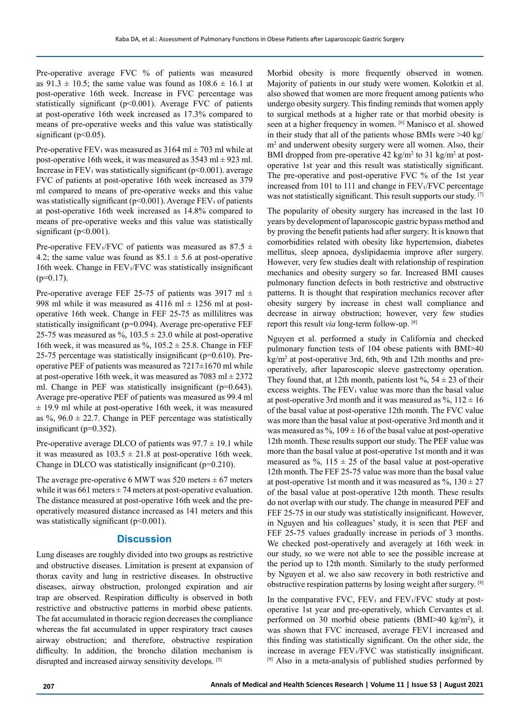Pre-operative average FVC % of patients was measured as  $91.3 \pm 10.5$ ; the same value was found as  $108.6 \pm 16.1$  at post-operative 16th week. Increase in FVC percentage was statistically significant ( $p<0.001$ ). Average FVC of patients at post-operative 16th week increased as 17.3% compared to means of pre-operative weeks and this value was statistically significant (p<0.05).

Pre-operative FEV<sub>1</sub> was measured as  $3164 \text{ ml} \pm 703 \text{ ml}$  while at post-operative 16th week, it was measured as  $3543 \text{ ml} \pm 923 \text{ ml}$ . Increase in  $FEV<sub>1</sub>$  was statistically significant (p<0.001). average FVC of patients at post-operative 16th week increased as 379 ml compared to means of pre-operative weeks and this value was statistically significant (p<0.001). Average FEV<sub>1</sub> of patients at post-operative 16th week increased as 14.8% compared to means of pre-operative weeks and this value was statistically significant (p<0.001).

Pre-operative FEV<sup>1</sup>/FVC of patients was measured as 87.5  $\pm$ 4.2; the same value was found as  $85.1 \pm 5.6$  at post-operative 16th week. Change in FEV₁/FVC was statistically insignificant  $(p=0.17)$ .

Pre-operative average FEF 25-75 of patients was 3917 ml  $\pm$ 998 ml while it was measured as  $4116$  ml  $\pm$  1256 ml at postoperative 16th week. Change in FEF 25-75 as millilitres was statistically insignificant (p=0.094). Average pre-operative FEF 25-75 was measured as %,  $103.5 \pm 23.0$  while at post-operative 16th week, it was measured as %,  $105.2 \pm 25.8$ . Change in FEF 25-75 percentage was statistically insignificant (p=0.610). Preoperative PEF of patients was measured as  $7217\pm1670$  ml while at post-operative 16th week, it was measured as  $7083 \text{ ml} \pm 2372$ ml. Change in PEF was statistically insignificant (p=0.643). Average pre-operative PEF of patients was measured as 99.4 ml  $\pm$  19.9 ml while at post-operative 16th week, it was measured as %,  $96.0 \pm 22.7$ . Change in PEF percentage was statistically insignificant (p=0.352).

Pre-operative average DLCO of patients was  $97.7 \pm 19.1$  while it was measured as  $103.5 \pm 21.8$  at post-operative 16th week. Change in DLCO was statistically insignificant (p=0.210).

The average pre-operative 6 MWT was 520 meters  $\pm$  67 meters while it was  $661$  meters  $\pm 74$  meters at post-operative evaluation. The distance measured at post-operative 16th week and the preoperatively measured distance increased as 141 meters and this was statistically significant  $(p<0.001)$ .

### **Discussion**

Lung diseases are roughly divided into two groups as restrictive and obstructive diseases. Limitation is present at expansion of thorax cavity and lung in restrictive diseases. In obstructive diseases, airway obstruction, prolonged expiration and air trap are observed. Respiration difficulty is observed in both restrictive and obstructive patterns in morbid obese patients. The fat accumulated in thoracic region decreases the compliance whereas the fat accumulated in upper respiratory tract causes airway obstruction; and therefore, obstructive respiration difficulty. In addition, the broncho dilation mechanism is disrupted and increased airway sensitivity develops. [5]

Morbid obesity is more frequently observed in women. Majority of patients in our study were women. Kolotkin et al. also showed that women are more frequent among patients who undergo obesity surgery. This finding reminds that women apply to surgical methods at a higher rate or that morbid obesity is seen at a higher frequency in women. [6] Manisco et al. showed in their study that all of the patients whose BMIs were >40 kg/ m<sup>2</sup> and underwent obesity surgery were all women. Also, their BMI dropped from pre-operative  $42 \text{ kg/m}^2$  to  $31 \text{ kg/m}^2$  at postoperative 1st year and this result was statistically significant. The pre-operative and post-operative FVC % of the 1st year increased from 101 to 111 and change in FEV<sup>1</sup>/FVC percentage was not statistically significant. This result supports our study. [7]

The popularity of obesity surgery has increased in the last 10 years by development of laparoscopic gastric bypass method and by proving the benefit patients had after surgery. It is known that comorbidities related with obesity like hypertension, diabetes mellitus, sleep apnoea, dyslipidaemia improve after surgery. However, very few studies dealt with relationship of respiration mechanics and obesity surgery so far. Increased BMI causes pulmonary function defects in both restrictive and obstructive patterns. It is thought that respiration mechanics recover after obesity surgery by increase in chest wall compliance and decrease in airway obstruction; however, very few studies report this result *via* long-term follow-up. [8]

Nguyen et al. performed a study in California and checked pulmonary function tests of 104 obese patients with BMI>40 kg/m<sup>2</sup> at post-operative 3rd, 6th, 9th and 12th months and preoperatively, after laparoscopic sleeve gastrectomy operation. They found that, at 12th month, patients lost  $\%$ , 54  $\pm$  23 of their excess weights. The FEV<sub>1</sub> value was more than the basal value at post-operative 3rd month and it was measured as  $\%$ ,  $112 \pm 16$ of the basal value at post-operative 12th month. The FVC value was more than the basal value at post-operative 3rd month and it was measured as %,  $109 \pm 16$  of the basal value at post-operative 12th month. These results support our study. The PEF value was more than the basal value at post-operative 1st month and it was measured as %,  $115 \pm 25$  of the basal value at post-operative 12th month. The FEF 25-75 value was more than the basal value at post-operative 1st month and it was measured as  $\%$ ,  $130 \pm 27$ of the basal value at post-operative 12th month. These results do not overlap with our study. The change in measured PEF and FEF 25-75 in our study was statistically insignificant. However, in Nguyen and his colleagues' study, it is seen that PEF and FEF 25-75 values gradually increase in periods of 3 months. We checked post-operatively and averagely at 16th week in our study, so we were not able to see the possible increase at the period up to 12th month. Similarly to the study performed by Nguyen et al. we also saw recovery in both restrictive and obstructive respiration patterns by losing weight after surgery. [8]

In the comparative FVC,  $FEV<sub>1</sub>$  and  $FEV<sub>1</sub>/FVC$  study at postoperative 1st year and pre-operatively, which Cervantes et al. performed on 30 morbid obese patients (BMI>40 kg/m<sup>2</sup> ), it was shown that FVC increased, average FEV1 increased and this finding was statistically significant. On the other side, the increase in average FEV₁/FVC was statistically insignificant. <sup>[9]</sup> Also in a meta-analysis of published studies performed by